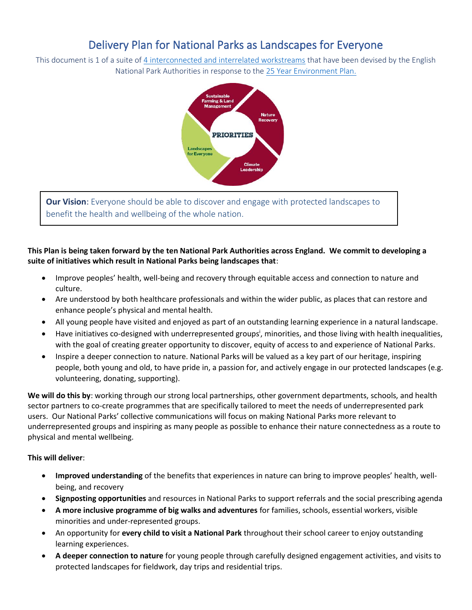# Delivery Plan for National Parks as Landscapes for Everyone

This document is 1 of a suite of [4 interconnected and interrelated workstreams](file:///C:/Users/Hoda/Dropbox%20(NPE)/NPE%20Data/Staff%20Files/Hoda/Delivery%20Plans/hyperlink%20to%20main%20page%20for%20delivery%20plans%20on%20website) that have been devised by the English National Park Authorities in response to the [25 Year Environment Plan.](file:///C:/Users/Hoda/Dropbox%20(NPE)/NPE%20Data/Staff%20Files/Hoda/Delivery%20Plans/link%20to%20envt%20plan)



**Our Vision:** Everyone should be able to discover and engage with protected landscapes to benefit the health and wellbeing of the whole nation.

## **This Plan is being taken forward by the ten National Park Authorities across England. We commit to developing a suite of initiatives which result in National Parks being landscapes that**:

- Improve peoples' health, well-being and recovery through equitable access and connection to nature and culture.
- Are understood by both healthcare professionals and within the wider public, as places that can restore and enhance people's physical and mental health.
- All young people have visited and enjoyed as part of an outstanding learning experience in a natural landscape.
- Have initiatives co-designed with underrepresented groups<sup>i</sup>, minorities, and those living with health inequalities, with the goal of creating greater opportunity to discover, equity of access to and experience of National Parks.
- Inspire a deeper connection to nature. National Parks will be valued as a key part of our heritage, inspiring people, both young and old, to have pride in, a passion for, and actively engage in our protected landscapes (e.g. volunteering, donating, supporting).

**We will do this by**: working through our strong local partnerships, other government departments, schools, and health sector partners to co-create programmes that are specifically tailored to meet the needs of underrepresented park users. Our National Parks' collective communications will focus on making National Parks more relevant to underrepresented groups and inspiring as many people as possible to enhance their nature connectedness as a route to physical and mental wellbeing.

## **This will deliver**:

- **Improved understanding** of the benefits that experiences in nature can bring to improve peoples' health, wellbeing, and recovery
- **Signposting opportunities** and resources in National Parks to support referrals and the social prescribing agenda
- **A more inclusive programme of big walks and adventures** for families, schools, essential workers, visible minorities and under-represented groups.
- An opportunity for **every child to visit a National Park** throughout their school career to enjoy outstanding learning experiences.
- **A deeper connection to nature** for young people through carefully designed engagement activities, and visits to protected landscapes for fieldwork, day trips and residential trips.